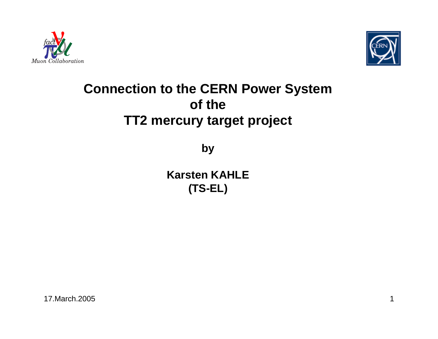



## **Connection to the CERN Power System of theTT2 mercury target project**

**by**

**Karsten KAHLE (TS-EL)**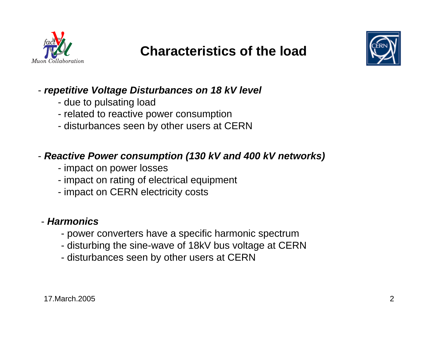



### - *repetitive Voltage Disturbances on 18 kV level*

- due to pulsating load
- related to reactive power consumption
- disturbances seen by other users at CERN

### - *Reactive Power consumption (130 kV and 400 kV networks)*

- impact on power losses
- impact on rating of electrical equipment
- impact on CERN electricity costs

#### - *Harmonics*

- power converters have a specific harmonic spectrum
- disturbing the sine-wave of 18kV bus voltage at CERN
- disturbances seen by other users at CERN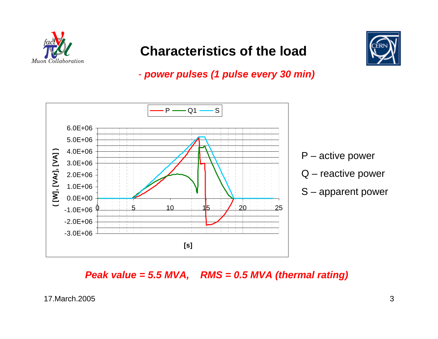



- *power pulses (1 pulse every 30 min)*



*Peak value = 5.5 MVA, RMS = 0.5 MVA (thermal rating)*

17.March.20053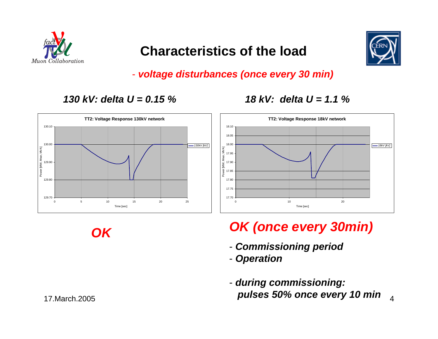



- *voltage disturbances (once every 30 min)*

17.7017.7517.8017.8517.9017.9518.0018.05 18.10

*130 kV: delta U = 0.15 % 18 kV: delta U = 1.1 %*



**TT2: Voltage Response 18kV network**



*OK*

# *OK (once every 30min)*

Time [sec]

- *Commissioning period*

0 20

- *Operation*
- 4 *pulses 50% once every 10 min*- *during commissioning:*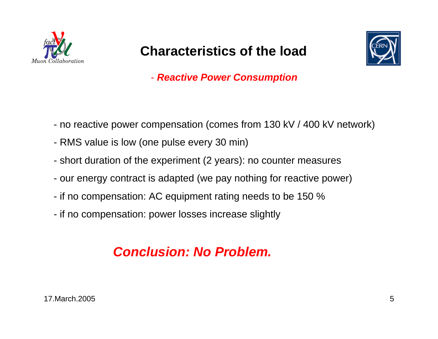



- *Reactive Power Consumption*

- no reactive power compensation (comes from 130 kV / 400 kV network)
- RMS value is low (one pulse every 30 min)
- short duration of the experiment (2 years): no counter measures
- our energy contract is adapted (we pay nothing for reactive power)
- if no compensation: AC equipment rating needs to be 150 %
- if no compensation: power losses increase slightly

## *Conclusion: No Problem.*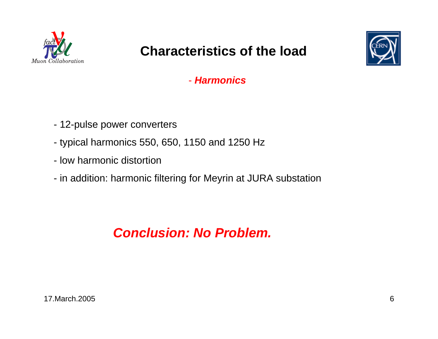



- *Harmonics*

- 12-pulse power converters
- typical harmonics 550, 650, 1150 and 1250 Hz
- low harmonic distortion
- in addition: harmonic filtering for Meyrin at JURA substation

*Conclusion: No Problem.*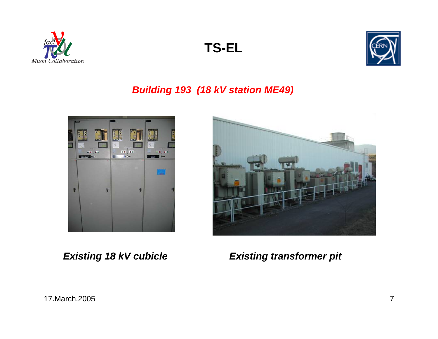





#### *Building 193 (18 kV station ME49)*





*Existing 18 kV cubicle Existing transformer pit*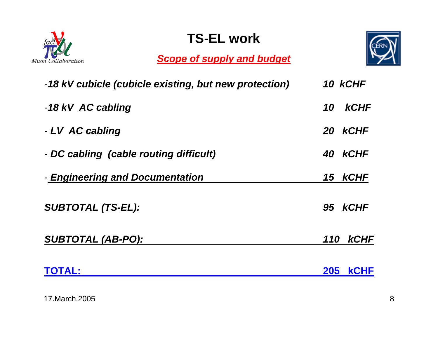

## **TS-EL work**

*Scope of supply and budget*



| -18 kV cubicle (cubicle existing, but new protection) | 10 KCHF                   |
|-------------------------------------------------------|---------------------------|
| -18 kV AC cabling                                     | <b>kCHF</b><br>10         |
| - LV AC cabling                                       | 20 KCHF                   |
| - DC cabling (cable routing difficult)                | 40 KCHF                   |
| - <b>Engineering and Documentation</b>                | 15 kCHF                   |
| <b>SUBTOTAL (TS-EL):</b>                              | 95 KCHF                   |
| <b>SUBTOTAL (AB-PO):</b>                              | 110 <b>kCHF</b>           |
| <b>TOTAL:</b>                                         | <b>205</b><br><b>KCHF</b> |

17.March.20058